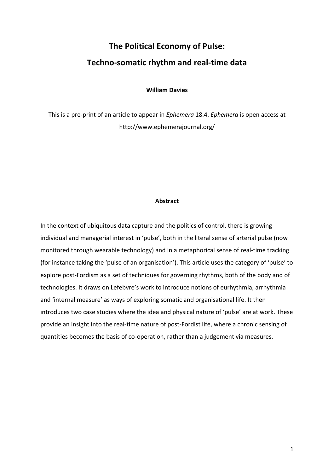# **The Political Economy of Pulse:** Techno-somatic rhythm and real-time data

**William Davies**

This is a pre-print of an article to appear in *Ephemera* 18.4. *Ephemera* is open access at http://www.ephemerajournal.org/

## **Abstract**

In the context of ubiquitous data capture and the politics of control, there is growing individual and managerial interest in 'pulse', both in the literal sense of arterial pulse (now monitored through wearable technology) and in a metaphorical sense of real-time tracking (for instance taking the 'pulse of an organisation'). This article uses the category of 'pulse' to explore post-Fordism as a set of techniques for governing rhythms, both of the body and of technologies. It draws on Lefebvre's work to introduce notions of eurhythmia, arrhythmia and 'internal measure' as ways of exploring somatic and organisational life. It then introduces two case studies where the idea and physical nature of 'pulse' are at work. These provide an insight into the real-time nature of post-Fordist life, where a chronic sensing of quantities becomes the basis of co-operation, rather than a judgement via measures.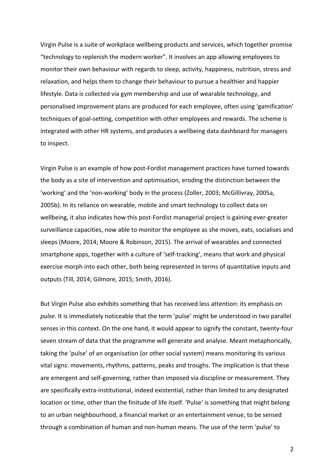Virgin Pulse is a suite of workplace wellbeing products and services, which together promise "technology to replenish the modern worker". It involves an app allowing employees to monitor their own behaviour with regards to sleep, activity, happiness, nutrition, stress and relaxation, and helps them to change their behaviour to pursue a healthier and happier lifestyle. Data is collected via gym membership and use of wearable technology, and personalised improvement plans are produced for each employee, often using 'gamification' techniques of goal-setting, competition with other employees and rewards. The scheme is integrated with other HR systems, and produces a wellbeing data dashboard for managers to inspect.

Virgin Pulse is an example of how post-Fordist management practices have turned towards the body as a site of intervention and optimisation, eroding the distinction between the 'working' and the 'non-working' body in the process (Zoller, 2003; McGillivray, 2005a, 2005b). In its reliance on wearable, mobile and smart technology to collect data on wellbeing, it also indicates how this post-Fordist managerial project is gaining ever-greater surveillance capacities, now able to monitor the employee as she moves, eats, socialises and sleeps (Moore, 2014; Moore & Robinson, 2015). The arrival of wearables and connected smartphone apps, together with a culture of 'self-tracking', means that work and physical exercise morph into each other, both being represented in terms of quantitative inputs and outputs (Till, 2014; Gilmore, 2015; Smith, 2016).

But Virgin Pulse also exhibits something that has received less attention: its emphasis on pulse. It is immediately noticeable that the term 'pulse' might be understood in two parallel senses in this context. On the one hand, it would appear to signify the constant, twenty-four seven stream of data that the programme will generate and analyse. Meant metaphorically, taking the 'pulse' of an organisation (or other social system) means monitoring its various vital signs: movements, rhythms, patterns, peaks and troughs. The implication is that these are emergent and self-governing, rather than imposed via discipline or measurement. They are specifically extra-institutional, indeed existential, rather than limited to any designated location or time, other than the finitude of life itself. 'Pulse' is something that might belong to an urban neighbourhood, a financial market or an entertainment venue, to be sensed through a combination of human and non-human means. The use of the term 'pulse' to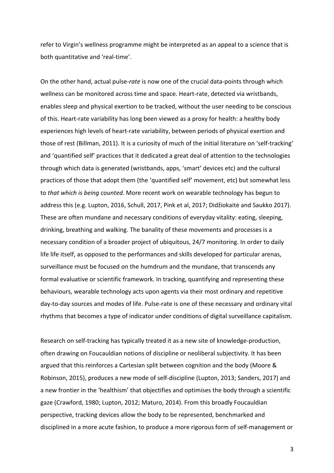refer to Virgin's wellness programme might be interpreted as an appeal to a science that is both quantitative and 'real-time'.

On the other hand, actual pulse-*rate* is now one of the crucial data-points through which wellness can be monitored across time and space. Heart-rate, detected via wristbands, enables sleep and physical exertion to be tracked, without the user needing to be conscious of this. Heart-rate variability has long been viewed as a proxy for health: a healthy body experiences high levels of heart-rate variability, between periods of physical exertion and those of rest (Billman, 2011). It is a curiosity of much of the initial literature on 'self-tracking' and 'quantified self' practices that it dedicated a great deal of attention to the technologies through which data is generated (wristbands, apps, 'smart' devices etc) and the cultural practices of those that adopt them (the 'quantified self' movement, etc) but somewhat less to *that which is being counted*. More recent work on wearable technology has begun to address this (e.g. Lupton, 2016, Schull, 2017, Pink et al, 2017; Didžiokaitė and Saukko 2017). These are often mundane and necessary conditions of everyday vitality: eating, sleeping, drinking, breathing and walking. The banality of these movements and processes is a necessary condition of a broader project of ubiquitous, 24/7 monitoring. In order to daily life life itself, as opposed to the performances and skills developed for particular arenas, surveillance must be focused on the humdrum and the mundane, that transcends any formal evaluative or scientific framework. In tracking, quantifying and representing these behaviours, wearable technology acts upon agents via their most ordinary and repetitive day-to-day sources and modes of life. Pulse-rate is one of these necessary and ordinary vital rhythms that becomes a type of indicator under conditions of digital surveillance capitalism.

Research on self-tracking has typically treated it as a new site of knowledge-production, often drawing on Foucauldian notions of discipline or neoliberal subjectivity. It has been argued that this reinforces a Cartesian split between cognition and the body (Moore & Robinson, 2015), produces a new mode of self-discipline (Lupton, 2013; Sanders, 2017) and a new frontier in the 'healthism' that objectifies and optimises the body through a scientific gaze (Crawford, 1980; Lupton, 2012; Maturo, 2014). From this broadly Foucauldian perspective, tracking devices allow the body to be represented, benchmarked and disciplined in a more acute fashion, to produce a more rigorous form of self-management or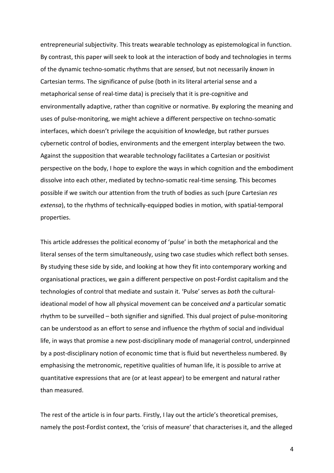entrepreneurial subjectivity. This treats wearable technology as epistemological in function. By contrast, this paper will seek to look at the interaction of body and technologies in terms of the dynamic techno-somatic rhythms that are *sensed*, but not necessarily *known* in Cartesian terms. The significance of pulse (both in its literal arterial sense and a metaphorical sense of real-time data) is precisely that it is pre-cognitive and environmentally adaptive, rather than cognitive or normative. By exploring the meaning and uses of pulse-monitoring, we might achieve a different perspective on techno-somatic interfaces, which doesn't privilege the acquisition of knowledge, but rather pursues cybernetic control of bodies, environments and the emergent interplay between the two. Against the supposition that wearable technology facilitates a Cartesian or positivist perspective on the body, I hope to explore the ways in which cognition and the embodiment dissolve into each other, mediated by techno-somatic real-time sensing. This becomes possible if we switch our attention from the truth of bodies as such (pure Cartesian *res extensa*), to the rhythms of technically-equipped bodies in motion, with spatial-temporal properties. 

This article addresses the political economy of 'pulse' in both the metaphorical and the literal senses of the term simultaneously, using two case studies which reflect both senses. By studying these side by side, and looking at how they fit into contemporary working and organisational practices, we gain a different perspective on post-Fordist capitalism and the technologies of control that mediate and sustain it. 'Pulse' serves as *both* the culturalideational model of how all physical movement can be conceived and a particular somatic rhythm to be surveilled – both signifier and signified. This dual project of pulse-monitoring can be understood as an effort to sense and influence the rhythm of social and individual life, in ways that promise a new post-disciplinary mode of managerial control, underpinned by a post-disciplinary notion of economic time that is fluid but nevertheless numbered. By emphasising the metronomic, repetitive qualities of human life, it is possible to arrive at quantitative expressions that are (or at least appear) to be emergent and natural rather than measured.

The rest of the article is in four parts. Firstly, I lay out the article's theoretical premises, namely the post-Fordist context, the 'crisis of measure' that characterises it, and the alleged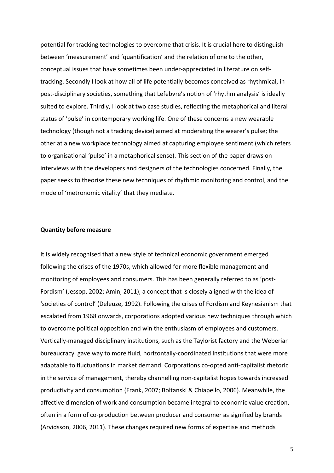potential for tracking technologies to overcome that crisis. It is crucial here to distinguish between 'measurement' and 'quantification' and the relation of one to the other, conceptual issues that have sometimes been under-appreciated in literature on selftracking. Secondly I look at how all of life potentially becomes conceived as rhythmical, in post-disciplinary societies, something that Lefebvre's notion of 'rhythm analysis' is ideally suited to explore. Thirdly, I look at two case studies, reflecting the metaphorical and literal status of 'pulse' in contemporary working life. One of these concerns a new wearable technology (though not a tracking device) aimed at moderating the wearer's pulse; the other at a new workplace technology aimed at capturing employee sentiment (which refers to organisational 'pulse' in a metaphorical sense). This section of the paper draws on interviews with the developers and designers of the technologies concerned. Finally, the paper seeks to theorise these new techniques of rhythmic monitoring and control, and the mode of 'metronomic vitality' that they mediate.

## **Quantity before measure**

It is widely recognised that a new style of technical economic government emerged following the crises of the 1970s, which allowed for more flexible management and monitoring of employees and consumers. This has been generally referred to as 'post-Fordism' (Jessop, 2002; Amin, 2011), a concept that is closely aligned with the idea of 'societies of control' (Deleuze, 1992). Following the crises of Fordism and Keynesianism that escalated from 1968 onwards, corporations adopted various new techniques through which to overcome political opposition and win the enthusiasm of employees and customers. Vertically-managed disciplinary institutions, such as the Taylorist factory and the Weberian bureaucracy, gave way to more fluid, horizontally-coordinated institutions that were more adaptable to fluctuations in market demand. Corporations co-opted anti-capitalist rhetoric in the service of management, thereby channelling non-capitalist hopes towards increased productivity and consumption (Frank, 2007; Boltanski & Chiapello, 2006). Meanwhile, the affective dimension of work and consumption became integral to economic value creation, often in a form of co-production between producer and consumer as signified by brands (Arvidsson, 2006, 2011). These changes required new forms of expertise and methods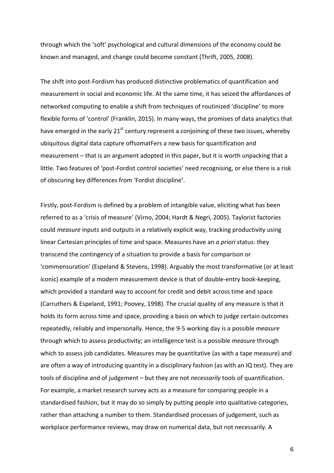through which the 'soft' psychological and cultural dimensions of the economy could be known and managed, and change could become constant (Thrift, 2005, 2008).

The shift into post-Fordism has produced distinctive problematics of quantification and measurement in social and economic life. At the same time, it has seized the affordances of networked computing to enable a shift from techniques of routinized 'discipline' to more flexible forms of 'control' (Franklin, 2015). In many ways, the promises of data analytics that have emerged in the early  $21^{st}$  century represent a conjoining of these two issues, whereby ubiquitous digital data capture offsomatFers a new basis for quantification and measurement  $-$  that is an argument adopted in this paper, but it is worth unpacking that a little. Two features of 'post-Fordist control societies' need recognising, or else there is a risk of obscuring key differences from 'Fordist discipline'.

Firstly, post-Fordism is defined by a problem of intangible value, eliciting what has been referred to as a 'crisis of measure' (Virno, 2004; Hardt & Negri, 2005). Taylorist factories could *measure* inputs and outputs in a relatively explicit way, tracking productivity using linear Cartesian principles of time and space. Measures have an *a priori* status: they transcend the contingency of a situation to provide a basis for comparison or 'commensuration' (Espeland & Stevens, 1998). Arguably the most transformative (or at least iconic) example of a modern measurement device is that of double-entry book-keeping, which provided a standard way to account for credit and debit across time and space (Carruthers & Espeland, 1991; Poovey, 1998). The crucial quality of any measure is that it holds its form across time and space, providing a basis on which to judge certain outcomes repeatedly, reliably and impersonally. Hence, the 9-5 working day is a possible *measure* through which to assess productivity; an intelligence test is a possible *measure* through which to assess job candidates. Measures may be quantitative (as with a tape measure) and are often a way of introducing quantity in a disciplinary fashion (as with an IQ test). They are tools of discipline and of judgement – but they are not *necessarily* tools of quantification. For example, a market research survey acts as a measure for comparing people in a standardised fashion, but it may do so simply by putting people into qualitative categories, rather than attaching a number to them. Standardised processes of judgement, such as workplace performance reviews, may draw on numerical data, but not necessarily. A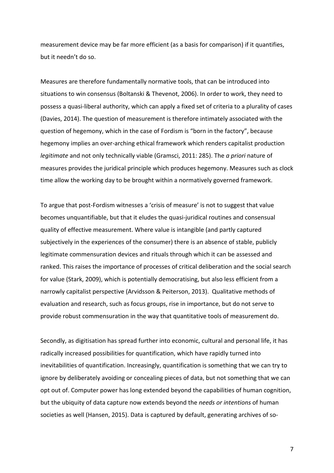measurement device may be far more efficient (as a basis for comparison) if it quantifies, but it needn't do so.

Measures are therefore fundamentally normative tools, that can be introduced into situations to win consensus (Boltanski & Thevenot, 2006). In order to work, they need to possess a quasi-liberal authority, which can apply a fixed set of criteria to a plurality of cases (Davies, 2014). The question of measurement is therefore intimately associated with the question of hegemony, which in the case of Fordism is "born in the factory", because hegemony implies an over-arching ethical framework which renders capitalist production *legitimate* and not only technically viable (Gramsci, 2011: 285). The *a priori* nature of measures provides the juridical principle which produces hegemony. Measures such as clock time allow the working day to be brought within a normatively governed framework.

To argue that post-Fordism witnesses a 'crisis of measure' is not to suggest that value becomes unquantifiable, but that it eludes the quasi-juridical routines and consensual quality of effective measurement. Where value is intangible (and partly captured subjectively in the experiences of the consumer) there is an absence of stable, publicly legitimate commensuration devices and rituals through which it can be assessed and ranked. This raises the importance of processes of critical deliberation and the social search for value (Stark, 2009), which is potentially democratising, but also less efficient from a narrowly capitalist perspective (Arvidsson & Peiterson, 2013). Qualitative methods of evaluation and research, such as focus groups, rise in importance, but do not serve to provide robust commensuration in the way that quantitative tools of measurement do.

Secondly, as digitisation has spread further into economic, cultural and personal life, it has radically increased possibilities for quantification, which have rapidly turned into inevitabilities of quantification. Increasingly, quantification is something that we can try to ignore by deliberately avoiding or concealing pieces of data, but not something that we can opt out of. Computer power has long extended beyond the capabilities of human cognition, but the ubiquity of data capture now extends beyond the *needs or intentions* of human societies as well (Hansen, 2015). Data is captured by default, generating archives of so-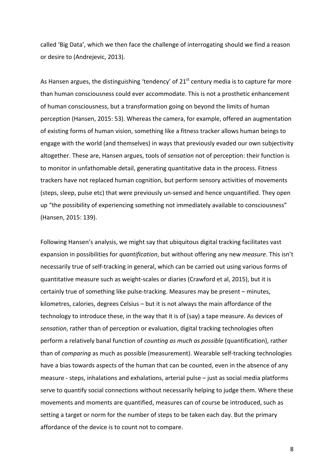called 'Big Data', which we then face the challenge of interrogating should we find a reason or desire to (Andrejevic, 2013).

As Hansen argues, the distinguishing 'tendency' of  $21<sup>st</sup>$  century media is to capture far more than human consciousness could ever accommodate. This is not a prosthetic enhancement of human consciousness, but a transformation going on beyond the limits of human perception (Hansen, 2015: 53). Whereas the camera, for example, offered an augmentation of existing forms of human vision, something like a fitness tracker allows human beings to engage with the world (and themselves) in ways that previously evaded our own subjectivity altogether. These are, Hansen argues, tools of *sensation* not of perception: their function is to monitor in unfathomable detail, generating quantitative data in the process. Fitness trackers have not replaced human cognition, but perform sensory activities of movements (steps, sleep, pulse etc) that were previously un-sensed and hence unquantified. They open up "the possibility of experiencing something not immediately available to consciousness" (Hansen, 2015: 139).

Following Hansen's analysis, we might say that ubiquitous digital tracking facilitates vast expansion in possibilities for *quantification*, but without offering any new *measure*. This isn't necessarily true of self-tracking in general, which can be carried out using various forms of quantitative measure such as weight-scales or diaries (Crawford et al, 2015), but it is certainly true of something like pulse-tracking. Measures may be present – minutes, kilometres, calories, degrees Celsius  $-$  but it is not always the main affordance of the technology to introduce these, in the way that it is of (say) a tape measure. As devices of sensation, rather than of perception or evaluation, digital tracking technologies often perform a relatively banal function of *counting as much as possible* (quantification), rather than of *comparing* as much as possible (measurement). Wearable self-tracking technologies have a bias towards aspects of the human that can be counted, even in the absence of any measure - steps, inhalations and exhalations, arterial pulse  $-$  just as social media platforms serve to quantify social connections without necessarily helping to judge them. Where these movements and moments are quantified, measures can of course be introduced, such as setting a target or norm for the number of steps to be taken each day. But the primary affordance of the device is to count not to compare.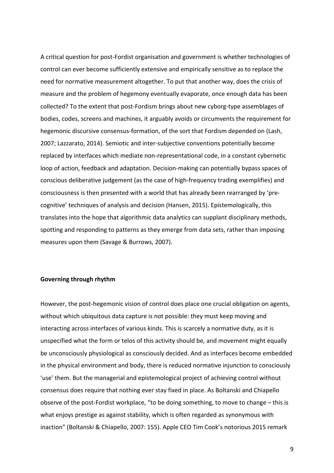A critical question for post-Fordist organisation and government is whether technologies of control can ever become sufficiently extensive and empirically sensitive as to replace the need for normative measurement altogether. To put that another way, does the crisis of measure and the problem of hegemony eventually evaporate, once enough data has been collected? To the extent that post-Fordism brings about new cyborg-type assemblages of bodies, codes, screens and machines, it arguably avoids or circumvents the requirement for hegemonic discursive consensus-formation, of the sort that Fordism depended on (Lash, 2007; Lazzarato, 2014). Semiotic and inter-subjective conventions potentially become replaced by interfaces which mediate non-representational code, in a constant cybernetic loop of action, feedback and adaptation. Decision-making can potentially bypass spaces of conscious deliberative judgement (as the case of high-frequency trading exemplifies) and consciousness is then presented with a world that has already been rearranged by 'precognitive' techniques of analysis and decision (Hansen, 2015). Epistemologically, this translates into the hope that algorithmic data analytics can supplant disciplinary methods, spotting and responding to patterns as they emerge from data sets, rather than imposing measures upon them (Savage & Burrows, 2007).

### **Governing through rhythm**

However, the post-hegemonic vision of control does place one crucial obligation on agents, without which ubiquitous data capture is not possible: they must keep moving and interacting across interfaces of various kinds. This is scarcely a normative duty, as it is unspecified what the form or telos of this activity should be, and movement might equally be unconsciously physiological as consciously decided. And as interfaces become embedded in the physical environment and body, there is reduced normative injunction to consciously 'use' them. But the managerial and epistemological project of achieving control without consensus does require that nothing ever stay fixed in place. As Boltanski and Chiapello observe of the post-Fordist workplace, "to be doing something, to move to change  $-$  this is what enjoys prestige as against stability, which is often regarded as synonymous with inaction" (Boltanski & Chiapello, 2007: 155). Apple CEO Tim Cook's notorious 2015 remark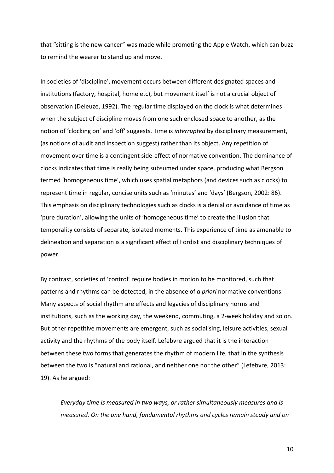that "sitting is the new cancer" was made while promoting the Apple Watch, which can buzz to remind the wearer to stand up and move.

In societies of 'discipline', movement occurs between different designated spaces and institutions (factory, hospital, home etc), but movement itself is not a crucial object of observation (Deleuze, 1992). The regular time displayed on the clock is what determines when the subject of discipline moves from one such enclosed space to another, as the notion of 'clocking on' and 'off' suggests. Time is *interrupted* by disciplinary measurement, (as notions of audit and inspection suggest) rather than its object. Any repetition of movement over time is a contingent side-effect of normative convention. The dominance of clocks indicates that time is really being subsumed under space, producing what Bergson termed 'homogeneous time', which uses spatial metaphors (and devices such as clocks) to represent time in regular, concise units such as 'minutes' and 'days' (Bergson, 2002: 86). This emphasis on disciplinary technologies such as clocks is a denial or avoidance of time as 'pure duration', allowing the units of 'homogeneous time' to create the illusion that temporality consists of separate, isolated moments. This experience of time as amenable to delineation and separation is a significant effect of Fordist and disciplinary techniques of power. 

By contrast, societies of 'control' require bodies in motion to be monitored, such that patterns and rhythms can be detected, in the absence of *a priori* normative conventions. Many aspects of social rhythm are effects and legacies of disciplinary norms and institutions, such as the working day, the weekend, commuting, a 2-week holiday and so on. But other repetitive movements are emergent, such as socialising, leisure activities, sexual activity and the rhythms of the body itself. Lefebvre argued that it is the interaction between these two forms that generates the rhythm of modern life, that in the synthesis between the two is "natural and rational, and neither one nor the other" (Lefebvre, 2013: 19). As he argued:

*Everyday time is measured in two ways, or rather simultaneously measures and is measured.* On the one hand, fundamental rhythms and cycles remain steady and on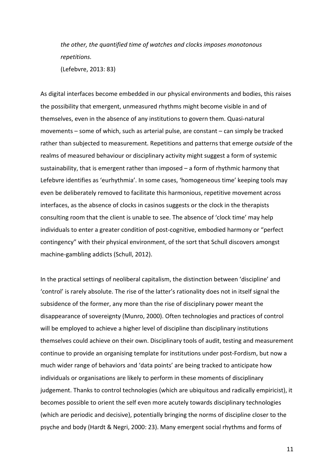*the other, the quantified time of watches and clocks imposes monotonous repetitions.* (Lefebvre, 2013: 83)

As digital interfaces become embedded in our physical environments and bodies, this raises the possibility that emergent, unmeasured rhythms might become visible in and of themselves, even in the absence of any institutions to govern them. Quasi-natural movements – some of which, such as arterial pulse, are constant – can simply be tracked rather than subjected to measurement. Repetitions and patterns that emerge *outside* of the realms of measured behaviour or disciplinary activity might suggest a form of systemic sustainability, that is emergent rather than imposed  $-$  a form of rhythmic harmony that Lefebvre identifies as 'eurhythmia'. In some cases, 'homogeneous time' keeping tools may even be deliberately removed to facilitate this harmonious, repetitive movement across interfaces, as the absence of clocks in casinos suggests or the clock in the therapists consulting room that the client is unable to see. The absence of 'clock time' may help individuals to enter a greater condition of post-cognitive, embodied harmony or "perfect contingency" with their physical environment, of the sort that Schull discovers amongst machine-gambling addicts (Schull, 2012).

In the practical settings of neoliberal capitalism, the distinction between 'discipline' and 'control' is rarely absolute. The rise of the latter's rationality does not in itself signal the subsidence of the former, any more than the rise of disciplinary power meant the disappearance of sovereignty (Munro, 2000). Often technologies and practices of control will be employed to achieve a higher level of discipline than disciplinary institutions themselves could achieve on their own. Disciplinary tools of audit, testing and measurement continue to provide an organising template for institutions under post-Fordism, but now a much wider range of behaviors and 'data points' are being tracked to anticipate how individuals or organisations are likely to perform in these moments of disciplinary judgement. Thanks to control technologies (which are ubiquitous and radically empiricist), it becomes possible to orient the self even more acutely towards disciplinary technologies (which are periodic and decisive), potentially bringing the norms of discipline closer to the psyche and body (Hardt & Negri, 2000: 23). Many emergent social rhythms and forms of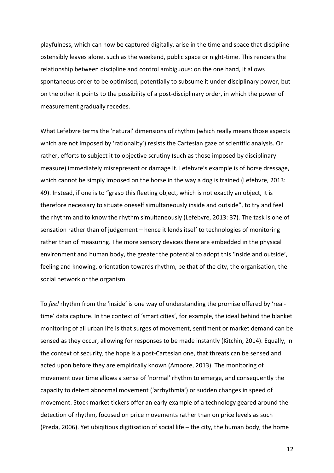playfulness, which can now be captured digitally, arise in the time and space that discipline ostensibly leaves alone, such as the weekend, public space or night-time. This renders the relationship between discipline and control ambiguous: on the one hand, it allows spontaneous order to be optimised, potentially to subsume it under disciplinary power, but on the other it points to the possibility of a post-disciplinary order, in which the power of measurement gradually recedes.

What Lefebvre terms the 'natural' dimensions of rhythm (which really means those aspects which are not imposed by 'rationality') resists the Cartesian gaze of scientific analysis. Or rather, efforts to subject it to objective scrutiny (such as those imposed by disciplinary measure) immediately misrepresent or damage it. Lefebvre's example is of horse dressage, which cannot be simply imposed on the horse in the way a dog is trained (Lefebvre, 2013: 49). Instead, if one is to "grasp this fleeting object, which is not exactly an object, it is therefore necessary to situate oneself simultaneously inside and outside", to try and feel the rhythm and to know the rhythm simultaneously (Lefebvre, 2013: 37). The task is one of sensation rather than of judgement - hence it lends itself to technologies of monitoring rather than of measuring. The more sensory devices there are embedded in the physical environment and human body, the greater the potential to adopt this 'inside and outside', feeling and knowing, orientation towards rhythm, be that of the city, the organisation, the social network or the organism.

To feel rhythm from the 'inside' is one way of understanding the promise offered by 'realtime' data capture. In the context of 'smart cities', for example, the ideal behind the blanket monitoring of all urban life is that surges of movement, sentiment or market demand can be sensed as they occur, allowing for responses to be made instantly (Kitchin, 2014). Equally, in the context of security, the hope is a post-Cartesian one, that threats can be sensed and acted upon before they are empirically known (Amoore, 2013). The monitoring of movement over time allows a sense of 'normal' rhythm to emerge, and consequently the capacity to detect abnormal movement ('arrhythmia') or sudden changes in speed of movement. Stock market tickers offer an early example of a technology geared around the detection of rhythm, focused on price movements rather than on price levels as such (Preda, 2006). Yet ubigitious digitisation of social life – the city, the human body, the home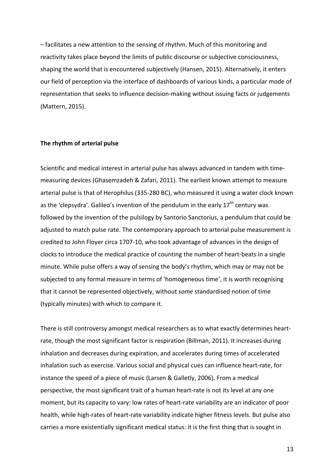$-$  facilitates a new attention to the sensing of rhythm. Much of this monitoring and reactivity takes place beyond the limits of public discourse or subjective consciousness, shaping the world that is encountered subjectively (Hansen, 2015). Alternatively, it enters our field of perception via the interface of dashboards of various kinds, a particular mode of representation that seeks to influence decision-making without issuing facts or judgements (Mattern, 2015). 

#### **The rhythm of arterial pulse**

Scientific and medical interest in arterial pulse has always advanced in tandem with timemeasuring devices (Ghasemzadeh & Zafari, 2011). The earliest known attempt to measure arterial pulse is that of Herophilus (335-280 BC), who measured it using a water clock known as the 'clepsydra'. Galileo's invention of the pendulum in the early  $17<sup>th</sup>$  century was followed by the invention of the pulsilogy by Santorio Sanctorius, a pendulum that could be adjusted to match pulse rate. The contemporary approach to arterial pulse measurement is credited to John Floyer circa 1707-10, who took advantage of advances in the design of clocks to introduce the medical practice of counting the number of heart-beats in a single minute. While pulse offers a way of sensing the body's rhythm, which may or may not be subjected to any formal measure in terms of 'homogeneous time', it is worth recognising that it cannot be represented objectively, without *some* standardised notion of time (typically minutes) with which to compare it.

There is still controversy amongst medical researchers as to what exactly determines heartrate, though the most significant factor is respiration (Billman, 2011). It increases during inhalation and decreases during expiration, and accelerates during times of accelerated inhalation such as exercise. Various social and physical cues can influence heart-rate, for instance the speed of a piece of music (Larsen & Galletly, 2006). From a medical perspective, the most significant trait of a human heart-rate is not its level at any one moment, but its capacity to vary: low rates of heart-rate variability are an indicator of poor health, while high-rates of heart-rate variability indicate higher fitness levels. But pulse also carries a more existentially significant medical status: it is the first thing that is sought in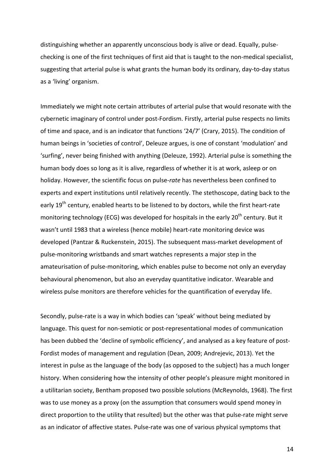distinguishing whether an apparently unconscious body is alive or dead. Equally, pulsechecking is one of the first techniques of first aid that is taught to the non-medical specialist, suggesting that arterial pulse is what grants the human body its ordinary, day-to-day status as a 'living' organism.

Immediately we might note certain attributes of arterial pulse that would resonate with the cybernetic imaginary of control under post-Fordism. Firstly, arterial pulse respects no limits of time and space, and is an indicator that functions '24/7' (Crary, 2015). The condition of human beings in 'societies of control', Deleuze argues, is one of constant 'modulation' and 'surfing', never being finished with anything (Deleuze, 1992). Arterial pulse is something the human body does so long as it is alive, regardless of whether it is at work, asleep or on holiday. However, the scientific focus on pulse-*rate* has nevertheless been confined to experts and expert institutions until relatively recently. The stethoscope, dating back to the early 19<sup>th</sup> century, enabled hearts to be listened to by doctors, while the first heart-rate monitoring technology (ECG) was developed for hospitals in the early  $20^{th}$  century. But it wasn't until 1983 that a wireless (hence mobile) heart-rate monitoring device was developed (Pantzar & Ruckenstein, 2015). The subsequent mass-market development of pulse-monitoring wristbands and smart watches represents a major step in the amateurisation of pulse-monitoring, which enables pulse to become not only an everyday behavioural phenomenon, but also an everyday quantitative indicator. Wearable and wireless pulse monitors are therefore vehicles for the quantification of everyday life.

Secondly, pulse-rate is a way in which bodies can 'speak' without being mediated by language. This quest for non-semiotic or post-representational modes of communication has been dubbed the 'decline of symbolic efficiency', and analysed as a key feature of post-Fordist modes of management and regulation (Dean, 2009; Andrejevic, 2013). Yet the interest in pulse as the language of the body (as opposed to the subject) has a much longer history. When considering how the intensity of other people's pleasure might monitored in a utilitarian society, Bentham proposed two possible solutions (McReynolds, 1968). The first was to use money as a proxy (on the assumption that consumers would spend money in direct proportion to the utility that resulted) but the other was that pulse-rate might serve as an indicator of affective states. Pulse-rate was one of various physical symptoms that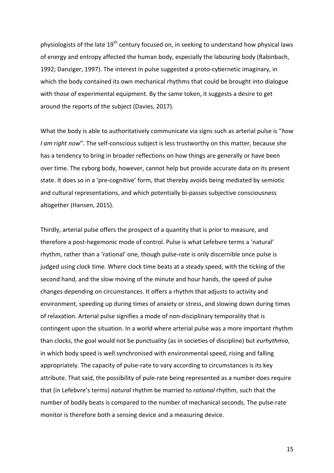physiologists of the late  $19^{th}$  century focused on, in seeking to understand how physical laws of energy and entropy affected the human body, especially the labouring body (Rabinbach, 1992; Danziger, 1997). The interest in pulse suggested a proto-cybernetic imaginary, in which the body contained its own mechanical rhythms that could be brought into dialogue with those of experimental equipment. By the same token, it suggests a desire to get around the reports of the subject (Davies, 2017).

What the body is able to authoritatively communicate via signs such as arterial pulse is "how *I* am right now". The self-conscious subject is less trustworthy on this matter, because she has a tendency to bring in broader reflections on how things are generally or have been over time. The cyborg body, however, cannot help but provide accurate data on its present state. It does so in a 'pre-cognitive' form, that thereby avoids being mediated by semiotic and cultural representations, and which potentially bi-passes subjective consciousness altogether (Hansen, 2015).

Thirdly, arterial pulse offers the prospect of a quantity that is prior to measure, and therefore a post-hegemonic mode of control. Pulse is what Lefebvre terms a 'natural' rhythm, rather than a 'rational' one, though pulse-rate is only discernible once pulse is judged using clock time. Where clock time beats at a steady speed, with the ticking of the second hand, and the slow moving of the minute and hour hands, the speed of pulse changes depending on circumstances. It offers a rhythm that adjusts to activity and environment, speeding up during times of anxiety or stress, and slowing down during times of relaxation. Arterial pulse signifies a mode of non-disciplinary temporality that is contingent upon the situation. In a world where arterial pulse was a more important rhythm than clocks, the goal would not be punctuality (as in societies of discipline) but *eurhythmia*, in which body speed is well synchronised with environmental speed, rising and falling appropriately. The capacity of pulse-rate to vary according to circumstances is its key attribute. That said, the possibility of pule-rate being represented as a number does require that (in Lefebvre's terms) *natural* rhythm be married to *rational* rhythm, such that the number of bodily beats is compared to the number of mechanical seconds. The pulse-rate monitor is therefore both a sensing device and a measuring device.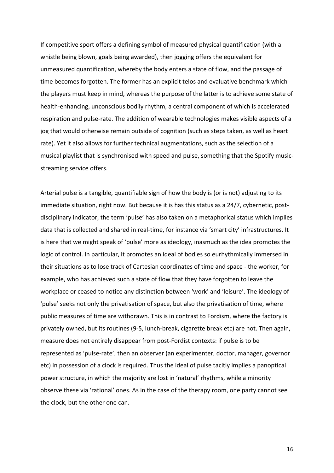If competitive sport offers a defining symbol of measured physical quantification (with a whistle being blown, goals being awarded), then jogging offers the equivalent for unmeasured quantification, whereby the body enters a state of flow, and the passage of time becomes forgotten. The former has an explicit telos and evaluative benchmark which the players must keep in mind, whereas the purpose of the latter is to achieve some state of health-enhancing, unconscious bodily rhythm, a central component of which is accelerated respiration and pulse-rate. The addition of wearable technologies makes visible aspects of a jog that would otherwise remain outside of cognition (such as steps taken, as well as heart rate). Yet it also allows for further technical augmentations, such as the selection of a musical playlist that is synchronised with speed and pulse, something that the Spotify musicstreaming service offers.

Arterial pulse is a tangible, quantifiable sign of how the body is (or is not) adjusting to its immediate situation, right now. But because it is has this status as a 24/7, cybernetic, postdisciplinary indicator, the term 'pulse' has also taken on a metaphorical status which implies data that is collected and shared in real-time, for instance via 'smart city' infrastructures. It is here that we might speak of 'pulse' more as ideology, inasmuch as the idea promotes the logic of control. In particular, it promotes an ideal of bodies so eurhythmically immersed in their situations as to lose track of Cartesian coordinates of time and space - the worker, for example, who has achieved such a state of flow that they have forgotten to leave the workplace or ceased to notice any distinction between 'work' and 'leisure'. The ideology of 'pulse' seeks not only the privatisation of space, but also the privatisation of time, where public measures of time are withdrawn. This is in contrast to Fordism, where the factory is privately owned, but its routines (9-5, lunch-break, cigarette break etc) are not. Then again, measure does not entirely disappear from post-Fordist contexts: if pulse is to be represented as 'pulse-rate', then an observer (an experimenter, doctor, manager, governor etc) in possession of a clock is required. Thus the ideal of pulse tacitly implies a panoptical power structure, in which the majority are lost in 'natural' rhythms, while a minority observe these via 'rational' ones. As in the case of the therapy room, one party cannot see the clock, but the other one can.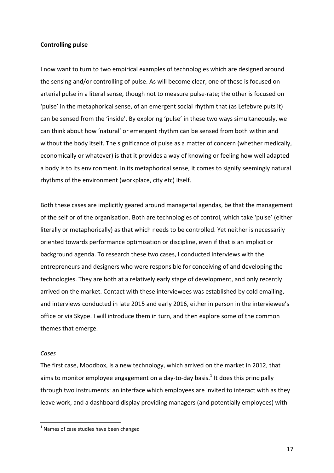### **Controlling pulse**

I now want to turn to two empirical examples of technologies which are designed around the sensing and/or controlling of pulse. As will become clear, one of these is focused on arterial pulse in a literal sense, though not to measure pulse-rate; the other is focused on 'pulse' in the metaphorical sense, of an emergent social rhythm that (as Lefebvre puts it) can be sensed from the 'inside'. By exploring 'pulse' in these two ways simultaneously, we can think about how 'natural' or emergent rhythm can be sensed from both within and without the body itself. The significance of pulse as a matter of concern (whether medically, economically or whatever) is that it provides a way of knowing or feeling how well adapted a body is to its environment. In its metaphorical sense, it comes to signify seemingly natural rhythms of the environment (workplace, city etc) itself.

Both these cases are implicitly geared around managerial agendas, be that the management of the self or of the organisation. Both are technologies of control, which take 'pulse' (either literally or metaphorically) as that which needs to be controlled. Yet neither is necessarily oriented towards performance optimisation or discipline, even if that is an implicit or background agenda. To research these two cases, I conducted interviews with the entrepreneurs and designers who were responsible for conceiving of and developing the technologies. They are both at a relatively early stage of development, and only recently arrived on the market. Contact with these interviewees was established by cold emailing, and interviews conducted in late 2015 and early 2016, either in person in the interviewee's office or via Skype. I will introduce them in turn, and then explore some of the common themes that emerge.

### *Cases*

The first case, Moodbox, is a new technology, which arrived on the market in 2012, that aims to monitor employee engagement on a day-to-day basis.<sup>1</sup> It does this principally through two instruments: an interface which employees are invited to interact with as they leave work, and a dashboard display providing managers (and potentially employees) with

 $1$  Names of case studies have been changed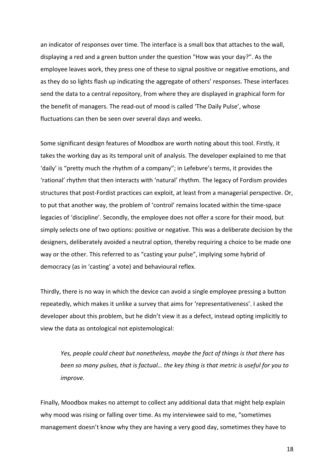an indicator of responses over time. The interface is a small box that attaches to the wall, displaying a red and a green button under the question "How was your day?". As the employee leaves work, they press one of these to signal positive or negative emotions, and as they do so lights flash up indicating the aggregate of others' responses. These interfaces send the data to a central repository, from where they are displayed in graphical form for the benefit of managers. The read-out of mood is called 'The Daily Pulse', whose fluctuations can then be seen over several days and weeks.

Some significant design features of Moodbox are worth noting about this tool. Firstly, it takes the working day as its temporal unit of analysis. The developer explained to me that 'daily' is "pretty much the rhythm of a company"; in Lefebvre's terms, it provides the 'rational' rhythm that then interacts with 'natural' rhythm. The legacy of Fordism provides structures that post-Fordist practices can exploit, at least from a managerial perspective. Or, to put that another way, the problem of 'control' remains located within the time-space legacies of 'discipline'. Secondly, the employee does not offer a score for their mood, but simply selects one of two options: positive or negative. This was a deliberate decision by the designers, deliberately avoided a neutral option, thereby requiring a choice to be made one way or the other. This referred to as "casting your pulse", implying some hybrid of democracy (as in 'casting' a vote) and behavioural reflex.

Thirdly, there is no way in which the device can avoid a single employee pressing a button repeatedly, which makes it unlike a survey that aims for 'representativeness'. I asked the developer about this problem, but he didn't view it as a defect, instead opting implicitly to view the data as ontological not epistemological:

Yes, people could cheat but nonetheless, maybe the fact of things is that there has *been so many pulses, that is factual... the key thing is that metric is useful for you to improve.*

Finally, Moodbox makes no attempt to collect any additional data that might help explain why mood was rising or falling over time. As my interviewee said to me, "sometimes management doesn't know why they are having a very good day, sometimes they have to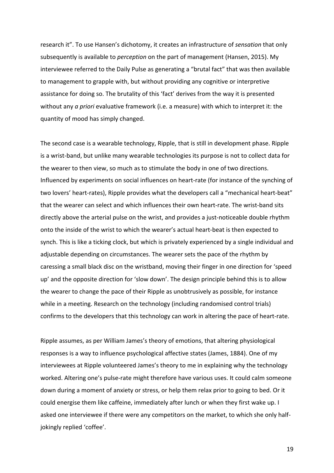research it". To use Hansen's dichotomy, it creates an infrastructure of *sensation* that only subsequently is available to *perception* on the part of management (Hansen, 2015). My interviewee referred to the Daily Pulse as generating a "brutal fact" that was then available to management to grapple with, but without providing any cognitive or interpretive assistance for doing so. The brutality of this 'fact' derives from the way it is presented without any *a priori* evaluative framework (i.e. a measure) with which to interpret it: the quantity of mood has simply changed.

The second case is a wearable technology, Ripple, that is still in development phase. Ripple is a wrist-band, but unlike many wearable technologies its purpose is not to collect data for the wearer to then view, so much as to stimulate the body in one of two directions. Influenced by experiments on social influences on heart-rate (for instance of the synching of two lovers' heart-rates), Ripple provides what the developers call a "mechanical heart-beat" that the wearer can select and which influences their own heart-rate. The wrist-band sits directly above the arterial pulse on the wrist, and provides a just-noticeable double rhythm onto the inside of the wrist to which the wearer's actual heart-beat is then expected to synch. This is like a ticking clock, but which is privately experienced by a single individual and adjustable depending on circumstances. The wearer sets the pace of the rhythm by caressing a small black disc on the wristband, moving their finger in one direction for 'speed up' and the opposite direction for 'slow down'. The design principle behind this is to allow the wearer to change the pace of their Ripple as unobtrusively as possible, for instance while in a meeting. Research on the technology (including randomised control trials) confirms to the developers that this technology can work in altering the pace of heart-rate.

Ripple assumes, as per William James's theory of emotions, that altering physiological responses is a way to influence psychological affective states (James, 1884). One of my interviewees at Ripple volunteered James's theory to me in explaining why the technology worked. Altering one's pulse-rate might therefore have various uses. It could calm someone down during a moment of anxiety or stress, or help them relax prior to going to bed. Or it could energise them like caffeine, immediately after lunch or when they first wake up. I asked one interviewee if there were any competitors on the market, to which she only halfjokingly replied 'coffee'.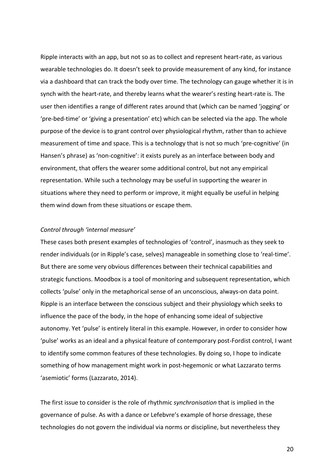Ripple interacts with an app, but not so as to collect and represent heart-rate, as various wearable technologies do. It doesn't seek to provide measurement of any kind, for instance via a dashboard that can track the body over time. The technology can gauge whether it is in synch with the heart-rate, and thereby learns what the wearer's resting heart-rate is. The user then identifies a range of different rates around that (which can be named 'jogging' or 'pre-bed-time' or 'giving a presentation' etc) which can be selected via the app. The whole purpose of the device is to grant control over physiological rhythm, rather than to achieve measurement of time and space. This is a technology that is not so much 'pre-cognitive' (in Hansen's phrase) as 'non-cognitive': it exists purely as an interface between body and environment, that offers the wearer some additional control, but not any empirical representation. While such a technology may be useful in supporting the wearer in situations where they need to perform or improve, it might equally be useful in helping them wind down from these situations or escape them.

## *Control through 'internal measure'*

These cases both present examples of technologies of 'control', inasmuch as they seek to render individuals (or in Ripple's case, selves) manageable in something close to 'real-time'. But there are some very obvious differences between their technical capabilities and strategic functions. Moodbox is a tool of monitoring and subsequent representation, which collects 'pulse' only in the metaphorical sense of an unconscious, always-on data point. Ripple is an interface between the conscious subject and their physiology which seeks to influence the pace of the body, in the hope of enhancing some ideal of subjective autonomy. Yet 'pulse' is entirely literal in this example. However, in order to consider how 'pulse' works as an ideal and a physical feature of contemporary post-Fordist control, I want to identify some common features of these technologies. By doing so, I hope to indicate something of how management might work in post-hegemonic or what Lazzarato terms 'asemiotic' forms (Lazzarato, 2014).

The first issue to consider is the role of rhythmic *synchronisation* that is implied in the governance of pulse. As with a dance or Lefebvre's example of horse dressage, these technologies do not govern the individual via norms or discipline, but nevertheless they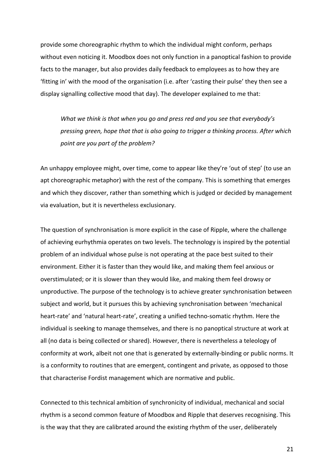provide some choreographic rhythm to which the individual might conform, perhaps without even noticing it. Moodbox does not only function in a panoptical fashion to provide facts to the manager, but also provides daily feedback to employees as to how they are 'fitting in' with the mood of the organisation (i.e. after 'casting their pulse' they then see a display signalling collective mood that day). The developer explained to me that:

*What* we think is that when you go and press red and you see that everybody's *pressing green, hope that that is also going to trigger a thinking process. After which* point are you part of the problem?

An unhappy employee might, over time, come to appear like they're 'out of step' (to use an apt choreographic metaphor) with the rest of the company. This is something that emerges and which they discover, rather than something which is judged or decided by management via evaluation, but it is nevertheless exclusionary.

The question of synchronisation is more explicit in the case of Ripple, where the challenge of achieving eurhythmia operates on two levels. The technology is inspired by the potential problem of an individual whose pulse is not operating at the pace best suited to their environment. Either it is faster than they would like, and making them feel anxious or overstimulated; or it is slower than they would like, and making them feel drowsy or unproductive. The purpose of the technology is to achieve greater synchronisation between subject and world, but it pursues this by achieving synchronisation between 'mechanical heart-rate' and 'natural heart-rate', creating a unified techno-somatic rhythm. Here the individual is seeking to manage themselves, and there is no panoptical structure at work at all (no data is being collected or shared). However, there is nevertheless a teleology of conformity at work, albeit not one that is generated by externally-binding or public norms. It is a conformity to routines that are emergent, contingent and private, as opposed to those that characterise Fordist management which are normative and public.

Connected to this technical ambition of synchronicity of individual, mechanical and social rhythm is a second common feature of Moodbox and Ripple that deserves recognising. This is the way that they are calibrated around the existing rhythm of the user, deliberately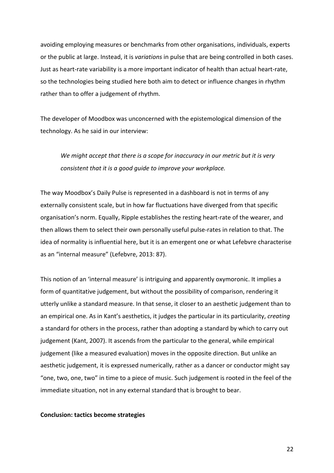avoiding employing measures or benchmarks from other organisations, individuals, experts or the public at large. Instead, it is variations in pulse that are being controlled in both cases. Just as heart-rate variability is a more important indicator of health than actual heart-rate, so the technologies being studied here both aim to detect or influence changes in rhythm rather than to offer a judgement of rhythm.

The developer of Moodbox was unconcerned with the epistemological dimension of the technology. As he said in our interview:

We might accept that there is a scope for inaccuracy in our metric but it is very *consistent that it is a good quide to improve your workplace.* 

The way Moodbox's Daily Pulse is represented in a dashboard is not in terms of any externally consistent scale, but in how far fluctuations have diverged from that specific organisation's norm. Equally, Ripple establishes the resting heart-rate of the wearer, and then allows them to select their own personally useful pulse-rates in relation to that. The idea of normality is influential here, but it is an emergent one or what Lefebvre characterise as an "internal measure" (Lefebvre, 2013: 87).

This notion of an 'internal measure' is intriguing and apparently oxymoronic. It implies a form of quantitative judgement, but without the possibility of comparison, rendering it utterly unlike a standard measure. In that sense, it closer to an aesthetic judgement than to an empirical one. As in Kant's aesthetics, it judges the particular in its particularity, *creating* a standard for others in the process, rather than adopting a standard by which to carry out judgement (Kant, 2007). It ascends from the particular to the general, while empirical judgement (like a measured evaluation) moves in the opposite direction. But unlike an aesthetic judgement, it is expressed numerically, rather as a dancer or conductor might say "one, two, one, two" in time to a piece of music. Such judgement is rooted in the feel of the immediate situation, not in any external standard that is brought to bear.

## **Conclusion: tactics become strategies**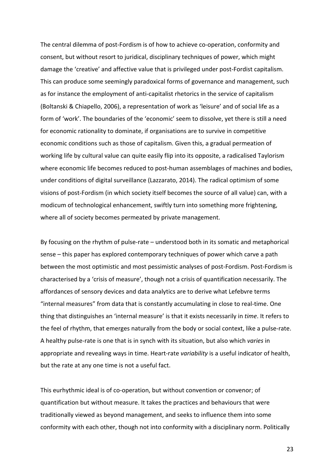The central dilemma of post-Fordism is of how to achieve co-operation, conformity and consent, but without resort to juridical, disciplinary techniques of power, which might damage the 'creative' and affective value that is privileged under post-Fordist capitalism. This can produce some seemingly paradoxical forms of governance and management, such as for instance the employment of anti-capitalist rhetorics in the service of capitalism (Boltanski & Chiapello, 2006), a representation of work as 'leisure' and of social life as a form of 'work'. The boundaries of the 'economic' seem to dissolve, yet there is still a need for economic rationality to dominate, if organisations are to survive in competitive economic conditions such as those of capitalism. Given this, a gradual permeation of working life by cultural value can quite easily flip into its opposite, a radicalised Taylorism where economic life becomes reduced to post-human assemblages of machines and bodies, under conditions of digital surveillance (Lazzarato, 2014). The radical optimism of some visions of post-Fordism (in which society itself becomes the source of all value) can, with a modicum of technological enhancement, swiftly turn into something more frightening, where all of society becomes permeated by private management.

By focusing on the rhythm of pulse-rate – understood both in its somatic and metaphorical sense – this paper has explored contemporary techniques of power which carve a path between the most optimistic and most pessimistic analyses of post-Fordism. Post-Fordism is characterised by a 'crisis of measure', though not a crisis of quantification necessarily. The affordances of sensory devices and data analytics are to derive what Lefebvre terms "internal measures" from data that is constantly accumulating in close to real-time. One thing that distinguishes an 'internal measure' is that it exists necessarily in *time*. It refers to the feel of rhythm, that emerges naturally from the body or social context, like a pulse-rate. A healthy pulse-rate is one that is in synch with its situation, but also which *varies* in appropriate and revealing ways in time. Heart-rate *variability* is a useful indicator of health, but the rate at any one time is not a useful fact.

This eurhythmic ideal is of co-operation, but without convention or convenor; of quantification but without measure. It takes the practices and behaviours that were traditionally viewed as beyond management, and seeks to influence them into some conformity with each other, though not into conformity with a disciplinary norm. Politically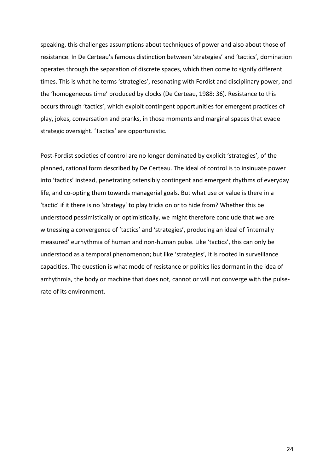speaking, this challenges assumptions about techniques of power and also about those of resistance. In De Certeau's famous distinction between 'strategies' and 'tactics', domination operates through the separation of discrete spaces, which then come to signify different times. This is what he terms 'strategies', resonating with Fordist and disciplinary power, and the 'homogeneous time' produced by clocks (De Certeau, 1988: 36). Resistance to this occurs through 'tactics', which exploit contingent opportunities for emergent practices of play, jokes, conversation and pranks, in those moments and marginal spaces that evade strategic oversight. 'Tactics' are opportunistic.

Post-Fordist societies of control are no longer dominated by explicit 'strategies', of the planned, rational form described by De Certeau. The ideal of control is to insinuate power into 'tactics' instead, penetrating ostensibly contingent and emergent rhythms of everyday life, and co-opting them towards managerial goals. But what use or value is there in a 'tactic' if it there is no 'strategy' to play tricks on or to hide from? Whether this be understood pessimistically or optimistically, we might therefore conclude that we are witnessing a convergence of 'tactics' and 'strategies', producing an ideal of 'internally measured' eurhythmia of human and non-human pulse. Like 'tactics', this can only be understood as a temporal phenomenon; but like 'strategies', it is rooted in surveillance capacities. The question is what mode of resistance or politics lies dormant in the idea of arrhythmia, the body or machine that does not, cannot or will not converge with the pulserate of its environment.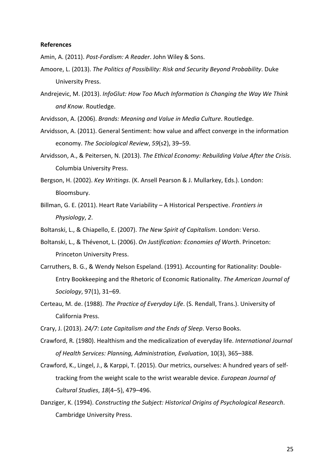### **References**

Amin, A. (2011). Post-Fordism: A Reader. John Wiley & Sons.

- Amoore, L. (2013). *The Politics of Possibility: Risk and Security Beyond Probability*. Duke University Press.
- Andrejevic, M. (2013). *InfoGlut: How Too Much Information Is Changing the Way We Think and Know*. Routledge.
- Arvidsson, A. (2006). *Brands: Meaning and Value in Media Culture*. Routledge.
- Arvidsson, A. (2011). General Sentiment: how value and affect converge in the information economy. *The Sociological Review*, 59(s2), 39-59.
- Arvidsson, A., & Peitersen, N. (2013). *The Ethical Economy: Rebuilding Value After the Crisis.* Columbia University Press.
- Bergson, H. (2002). *Key Writings*. (K. Ansell Pearson & J. Mullarkey, Eds.). London: Bloomsbury.
- Billman, G. E. (2011). Heart Rate Variability A Historical Perspective. Frontiers in *Physiology*, 2.
- Boltanski, L., & Chiapello, E. (2007). The New Spirit of Capitalism. London: Verso.
- Boltanski, L., & Thévenot, L. (2006). *On Justification: Economies of Worth*. Princeton: Princeton University Press.
- Carruthers, B. G., & Wendy Nelson Espeland. (1991). Accounting for Rationality: Double-Entry Bookkeeping and the Rhetoric of Economic Rationality. The American Journal of *Sociology*, 97(1), 31–69.
- Certeau, M. de. (1988). *The Practice of Everyday Life*. (S. Rendall, Trans.). University of California Press.
- Crary, J. (2013). 24/7: Late Capitalism and the Ends of Sleep. Verso Books.
- Crawford, R. (1980). Healthism and the medicalization of everyday life. *International Journal of Health Services: Planning, Administration, Evaluation*, 10(3), 365–388.
- Crawford, K., Lingel, J., & Karppi, T. (2015). Our metrics, ourselves: A hundred years of selftracking from the weight scale to the wrist wearable device. *European Journal of Cultural Studies*, *18*(4–5), 479–496.
- Danziger, K. (1994). *Constructing the Subject: Historical Origins of Psychological Research.* Cambridge University Press.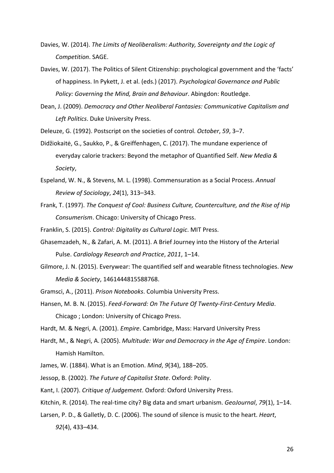- Davies, W. (2014). The Limits of Neoliberalism: Authority, Sovereignty and the Logic of *Competition*. SAGE.
- Davies, W. (2017). The Politics of Silent Citizenship: psychological government and the 'facts' of happiness. In Pykett, J. et al. (eds.) (2017). Psychological Governance and Public *Policy: Governing the Mind, Brain and Behaviour. Abingdon: Routledge.*
- Dean, J. (2009). *Democracy and Other Neoliberal Fantasies: Communicative Capitalism and* Left Politics. Duke University Press.

Deleuze, G. (1992). Postscript on the societies of control. *October*, 59, 3–7.

- Didžiokaitė, G., Saukko, P., & Greiffenhagen, C. (2017). The mundane experience of everyday calorie trackers: Beyond the metaphor of Quantified Self. *New Media & Society*,
- Espeland, W. N., & Stevens, M. L. (1998). Commensuration as a Social Process. *Annual Review of Sociology*, *24*(1), 313–343.
- Frank, T. (1997). *The Conquest of Cool: Business Culture, Counterculture, and the Rise of Hip Consumerism*. Chicago: University of Chicago Press.
- Franklin, S. (2015). *Control: Digitality as Cultural Logic*. MIT Press.
- Ghasemzadeh, N., & Zafari, A. M. (2011). A Brief Journey into the History of the Arterial Pulse. *Cardiology Research and Practice*, 2011, 1-14.
- Gilmore, J. N. (2015). Everywear: The quantified self and wearable fitness technologies. *New Media & Society*, 1461444815588768.
- Gramsci, A., (2011). *Prison Notebooks*. Columbia University Press.
- Hansen, M. B. N. (2015). *Feed-Forward: On The Future Of Twenty-First-Century Media*. Chicago ; London: University of Chicago Press.
- Hardt, M. & Negri, A. (2001). *Empire*. Cambridge, Mass: Harvard University Press
- Hardt, M., & Negri, A. (2005). *Multitude:* War and Democracy in the Age of Empire. London: Hamish Hamilton.
- James, W. (1884). What is an Emotion. *Mind*, 9(34), 188–205.
- Jessop, B. (2002). *The Future of Capitalist State*. Oxford: Polity.
- Kant, I. (2007). *Critique of Judgement*. Oxford: Oxford University Press.
- Kitchin, R. (2014). The real-time city? Big data and smart urbanism. *GeoJournal*, 79(1), 1–14.
- Larsen, P. D., & Galletly, D. C. (2006). The sound of silence is music to the heart. *Heart*,

*92*(4), 433–434.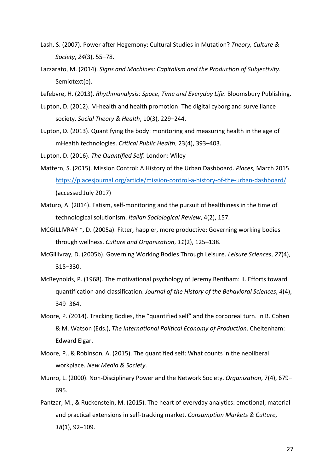- Lash, S. (2007). Power after Hegemony: Cultural Studies in Mutation? *Theory, Culture & Society*, *24*(3), 55–78.
- Lazzarato, M. (2014). Signs and Machines: Capitalism and the Production of Subjectivity. Semiotext(e).
- Lefebvre, H. (2013). *Rhythmanalysis: Space, Time and Everyday Life*. Bloomsbury Publishing.
- Lupton, D. (2012). M-health and health promotion: The digital cyborg and surveillance society. Social Theory & Health, 10(3), 229-244.
- Lupton, D. (2013). Quantifying the body: monitoring and measuring health in the age of mHealth technologies. *Critical Public Health*, 23(4), 393-403.

Lupton, D. (2016). *The Quantified Self*. London: Wiley

- Mattern, S. (2015). Mission Control: A History of the Urban Dashboard. *Places*, March 2015. https://placesjournal.org/article/mission-control-a-history-of-the-urban-dashboard/ (accessed July 2017)
- Maturo, A. (2014). Fatism, self-monitoring and the pursuit of healthiness in the time of technological solutionism. *Italian Sociological Review*, 4(2), 157.
- MCGILLIVRAY \*, D. (2005a). Fitter, happier, more productive: Governing working bodies through wellness. *Culture and Organization*, *11*(2), 125–138.
- McGillivray, D. (2005b). Governing Working Bodies Through Leisure. *Leisure Sciences*, 27(4), 315–330.
- McReynolds, P. (1968). The motivational psychology of Jeremy Bentham: II. Efforts toward quantification and classification. *Journal of the History of the Behavioral Sciences*, 4(4), 349–364.
- Moore, P. (2014). Tracking Bodies, the "quantified self" and the corporeal turn. In B. Cohen & M. Watson (Eds.), *The International Political Economy of Production*. Cheltenham: Edward Elgar.
- Moore, P., & Robinson, A. (2015). The quantified self: What counts in the neoliberal workplace. *New Media & Society*.
- Munro, L. (2000). Non-Disciplinary Power and the Network Society. *Organization*, 7(4), 679– 695.
- Pantzar, M., & Ruckenstein, M. (2015). The heart of everyday analytics: emotional, material and practical extensions in self-tracking market. *Consumption Markets & Culture*, *18*(1), 92–109.